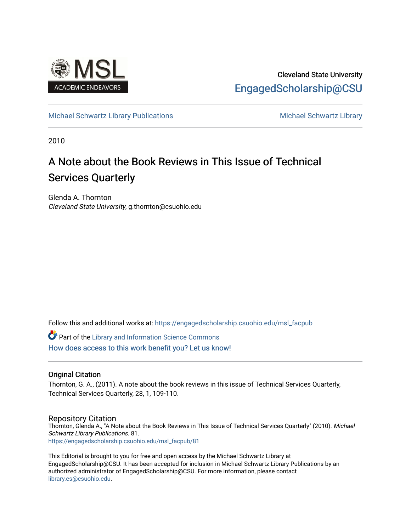

## Cleveland State University [EngagedScholarship@CSU](https://engagedscholarship.csuohio.edu/)

#### [Michael Schwartz Library Publications](https://engagedscholarship.csuohio.edu/msl_facpub) [Michael Schwartz Library](https://engagedscholarship.csuohio.edu/mslibrary) **Michael Schwartz** Library

2010

# A Note about the Book Reviews in This Issue of Technical Services Quarterly

Glenda A. Thornton Cleveland State University, g.thornton@csuohio.edu

Follow this and additional works at: [https://engagedscholarship.csuohio.edu/msl\\_facpub](https://engagedscholarship.csuohio.edu/msl_facpub?utm_source=engagedscholarship.csuohio.edu%2Fmsl_facpub%2F81&utm_medium=PDF&utm_campaign=PDFCoverPages) 

**Part of the Library and Information Science Commons** [How does access to this work benefit you? Let us know!](http://library.csuohio.edu/engaged/)

#### Original Citation

Thornton, G. A., (2011). A note about the book reviews in this issue of Technical Services Quarterly, Technical Services Quarterly, 28, 1, 109-110.

#### Repository Citation

Thornton, Glenda A., "A Note about the Book Reviews in This Issue of Technical Services Quarterly" (2010). Michael Schwartz Library Publications. 81. [https://engagedscholarship.csuohio.edu/msl\\_facpub/81](https://engagedscholarship.csuohio.edu/msl_facpub/81?utm_source=engagedscholarship.csuohio.edu%2Fmsl_facpub%2F81&utm_medium=PDF&utm_campaign=PDFCoverPages)

This Editorial is brought to you for free and open access by the Michael Schwartz Library at EngagedScholarship@CSU. It has been accepted for inclusion in Michael Schwartz Library Publications by an authorized administrator of EngagedScholarship@CSU. For more information, please contact [library.es@csuohio.edu.](mailto:library.es@csuohio.edu)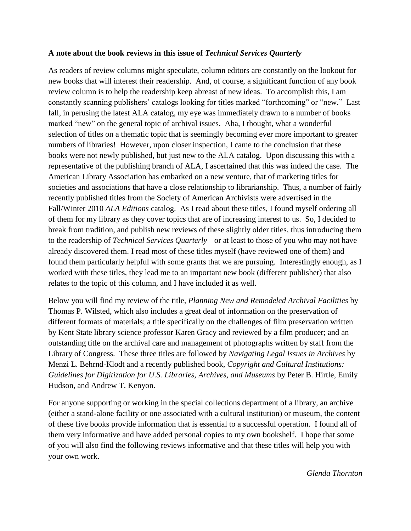### **A note about the book reviews in this issue of** *Technical Services Quarterly*

As readers of review columns might speculate, column editors are constantly on the lookout for new books that will interest their readership. And, of course, a significant function of any book review column is to help the readership keep abreast of new ideas. To accomplish this, I am constantly scanning publishers' catalogs looking for titles marked "forthcoming" or "new." Last fall, in perusing the latest ALA catalog, my eye was immediately drawn to a number of books marked "new" on the general topic of archival issues. Aha, I thought, what a wonderful selection of titles on a thematic topic that is seemingly becoming ever more important to greater numbers of libraries! However, upon closer inspection, I came to the conclusion that these books were not newly published, but just new to the ALA catalog. Upon discussing this with a representative of the publishing branch of ALA, I ascertained that this was indeed the case. The American Library Association has embarked on a new venture, that of marketing titles for societies and associations that have a close relationship to librarianship. Thus, a number of fairly recently published titles from the Society of American Archivists were advertised in the Fall/Winter 2010 *ALA Editions* catalog. As I read about these titles, I found myself ordering all of them for my library as they cover topics that are of increasing interest to us. So, I decided to break from tradition, and publish new reviews of these slightly older titles, thus introducing them to the readership of *Technical Services Quarterly—*or at least to those of you who may not have already discovered them. I read most of these titles myself (have reviewed one of them) and found them particularly helpful with some grants that we are pursuing. Interestingly enough, as I worked with these titles, they lead me to an important new book (different publisher) that also relates to the topic of this column, and I have included it as well.

Below you will find my review of the title, *Planning New and Remodeled Archival Facilities* by Thomas P. Wilsted, which also includes a great deal of information on the preservation of different formats of materials; a title specifically on the challenges of film preservation written by Kent State library science professor Karen Gracy and reviewed by a film producer; and an outstanding title on the archival care and management of photographs written by staff from the Library of Congress. These three titles are followed by *Navigating Legal Issues in Archives* by Menzi L. Behrnd-Klodt and a recently published book, *Copyright and Cultural Institutions: Guidelines for Digitization for U.S. Libraries, Archives, and Museums* by Peter B. Hirtle, Emily Hudson, and Andrew T. Kenyon.

For anyone supporting or working in the special collections department of a library, an archive (either a stand-alone facility or one associated with a cultural institution) or museum, the content of these five books provide information that is essential to a successful operation. I found all of them very informative and have added personal copies to my own bookshelf. I hope that some of you will also find the following reviews informative and that these titles will help you with your own work.

*Glenda Thornton*